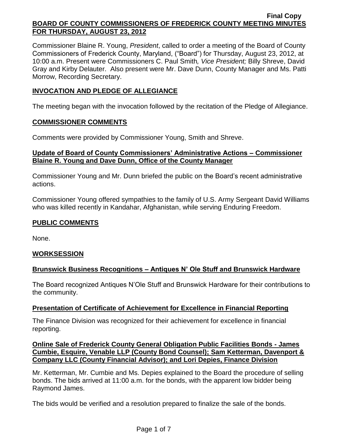Commissioner Blaine R. Young, *President*, called to order a meeting of the Board of County Commissioners of Frederick County, Maryland, ("Board") for Thursday, August 23, 2012, at 10:00 a.m. Present were Commissioners C. Paul Smith*, Vice President;* Billy Shreve, David Gray and Kirby Delauter. Also present were Mr. Dave Dunn, County Manager and Ms. Patti Morrow, Recording Secretary.

## **INVOCATION AND PLEDGE OF ALLEGIANCE**

The meeting began with the invocation followed by the recitation of the Pledge of Allegiance.

### **COMMISSIONER COMMENTS**

Comments were provided by Commissioner Young, Smith and Shreve.

### **Update of Board of County Commissioners' Administrative Actions – Commissioner Blaine R. Young and Dave Dunn, Office of the County Manager**

Commissioner Young and Mr. Dunn briefed the public on the Board's recent administrative actions.

Commissioner Young offered sympathies to the family of U.S. Army Sergeant David Williams who was killed recently in Kandahar, Afghanistan, while serving Enduring Freedom.

## **PUBLIC COMMENTS**

None.

### **WORKSESSION**

### **Brunswick Business Recognitions – Antiques N' Ole Stuff and Brunswick Hardware**

The Board recognized Antiques N'Ole Stuff and Brunswick Hardware for their contributions to the community.

### **Presentation of Certificate of Achievement for Excellence in Financial Reporting**

The Finance Division was recognized for their achievement for excellence in financial reporting.

### **Online Sale of Frederick County General Obligation Public Facilities Bonds - James Cumbie, Esquire, Venable LLP (County Bond Counsel); Sam Ketterman, Davenport & Company LLC (County Financial Advisor); and Lori Depies, Finance Division**

Mr. Ketterman, Mr. Cumbie and Ms. Depies explained to the Board the procedure of selling bonds. The bids arrived at 11:00 a.m. for the bonds, with the apparent low bidder being Raymond James.

The bids would be verified and a resolution prepared to finalize the sale of the bonds.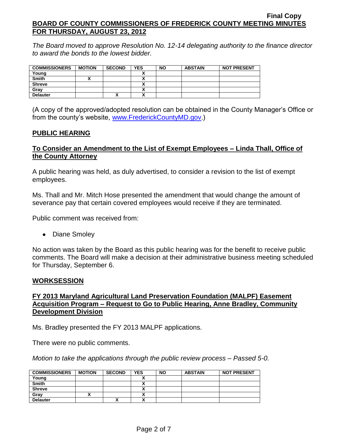*The Board moved to approve Resolution No. 12-14 delegating authority to the finance director to award the bonds to the lowest bidder.* 

| <b>COMMISSIONERS</b> | <b>MOTION</b> | <b>SECOND</b> | <b>YES</b>   | <b>NO</b> | <b>ABSTAIN</b> | <b>NOT PRESENT</b> |
|----------------------|---------------|---------------|--------------|-----------|----------------|--------------------|
| Young                |               |               | ~            |           |                |                    |
| <b>Smith</b>         |               |               | ~            |           |                |                    |
| <b>Shreve</b>        |               |               |              |           |                |                    |
| Grav                 |               |               | $\mathbf{v}$ |           |                |                    |
| <b>Delauter</b>      |               | "             | $\mathbf{v}$ |           |                |                    |

(A copy of the approved/adopted resolution can be obtained in the County Manager's Office or from the county's website, [www.FrederickCountyMD.gov.](http://www.frederickcountymd.gov/))

### **PUBLIC HEARING**

## **To Consider an Amendment to the List of Exempt Employees – Linda Thall, Office of the County Attorney**

A public hearing was held, as duly advertised, to consider a revision to the list of exempt employees.

Ms. Thall and Mr. Mitch Hose presented the amendment that would change the amount of severance pay that certain covered employees would receive if they are terminated.

Public comment was received from:

• Diane Smoley

No action was taken by the Board as this public hearing was for the benefit to receive public comments. The Board will make a decision at their administrative business meeting scheduled for Thursday, September 6.

### **WORKSESSION**

## **FY 2013 Maryland Agricultural Land Preservation Foundation (MALPF) Easement Acquisition Program – Request to Go to Public Hearing, Anne Bradley, Community Development Division**

Ms. Bradley presented the FY 2013 MALPF applications.

There were no public comments.

*Motion to take the applications through the public review process – Passed 5-0.*

| <b>COMMISSIONERS</b> | <b>MOTION</b> | <b>SECOND</b> | <b>YES</b> | <b>NO</b> | <b>ABSTAIN</b> | <b>NOT PRESENT</b> |
|----------------------|---------------|---------------|------------|-----------|----------------|--------------------|
| Young                |               |               |            |           |                |                    |
| <b>Smith</b>         |               |               |            |           |                |                    |
| <b>Shreve</b>        |               |               |            |           |                |                    |
| Gray                 |               |               | Λ          |           |                |                    |
| <b>Delauter</b>      |               | "             | Λ          |           |                |                    |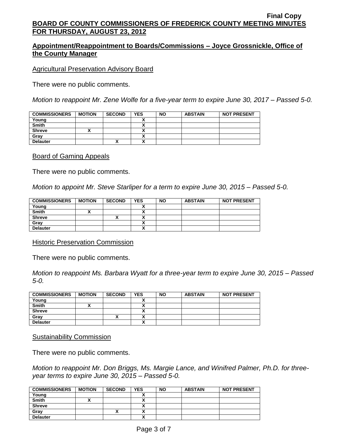## **Appointment/Reappointment to Boards/Commissions – Joyce Grossnickle, Office of the County Manager**

Agricultural Preservation Advisory Board

There were no public comments.

*Motion to reappoint Mr. Zene Wolfe for a five-year term to expire June 30, 2017 – Passed 5-0.*

| <b>COMMISSIONERS</b> | <b>MOTION</b> | <b>SECOND</b> | <b>YES</b> | <b>NO</b> | <b>ABSTAIN</b> | <b>NOT PRESENT</b> |
|----------------------|---------------|---------------|------------|-----------|----------------|--------------------|
| Young                |               |               |            |           |                |                    |
| <b>Smith</b>         |               |               |            |           |                |                    |
| <b>Shreve</b>        |               |               |            |           |                |                    |
| Gray                 |               |               |            |           |                |                    |
| <b>Delauter</b>      |               | ́             |            |           |                |                    |

#### Board of Gaming Appeals

There were no public comments.

*Motion to appoint Mr. Steve Starliper for a term to expire June 30, 2015 – Passed 5-0.*

| <b>COMMISSIONERS</b> | <b>MOTION</b> | <b>SECOND</b> | <b>YES</b> | <b>NO</b> | <b>ABSTAIN</b> | <b>NOT PRESENT</b> |
|----------------------|---------------|---------------|------------|-----------|----------------|--------------------|
| Young                |               |               |            |           |                |                    |
| <b>Smith</b>         |               |               |            |           |                |                    |
| <b>Shreve</b>        |               |               |            |           |                |                    |
| Grav                 |               |               |            |           |                |                    |
| <b>Delauter</b>      |               |               |            |           |                |                    |

#### Historic Preservation Commission

There were no public comments.

*Motion to reappoint Ms. Barbara Wyatt for a three-year term to expire June 30, 2015 – Passed 5-0.*

| <b>COMMISSIONERS</b> | <b>MOTION</b> | <b>SECOND</b> | <b>YES</b> | <b>NO</b> | <b>ABSTAIN</b> | <b>NOT PRESENT</b> |
|----------------------|---------------|---------------|------------|-----------|----------------|--------------------|
| Young                |               |               |            |           |                |                    |
| <b>Smith</b>         |               |               | v          |           |                |                    |
| <b>Shreve</b>        |               |               | v<br>^     |           |                |                    |
| Grav                 |               | ^`            |            |           |                |                    |
| <b>Delauter</b>      |               |               | Λ          |           |                |                    |

#### Sustainability Commission

There were no public comments.

*Motion to reappoint Mr. Don Briggs, Ms. Margie Lance, and Winifred Palmer, Ph.D. for threeyear terms to expire June 30, 2015 – Passed 5-0.*

| <b>COMMISSIONERS</b> | <b>MOTION</b> | <b>SECOND</b> | <b>YES</b> | <b>NO</b> | <b>ABSTAIN</b> | <b>NOT PRESENT</b> |
|----------------------|---------------|---------------|------------|-----------|----------------|--------------------|
| Young                |               |               |            |           |                |                    |
| <b>Smith</b>         |               |               |            |           |                |                    |
| <b>Shreve</b>        |               |               |            |           |                |                    |
| Gray                 |               | ^             |            |           |                |                    |
| <b>Delauter</b>      |               |               |            |           |                |                    |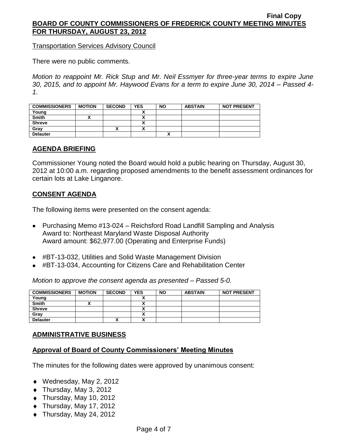Transportation Services Advisory Council

There were no public comments.

*Motion to reappoint Mr. Rick Stup and Mr. Neil Essmyer for three-year terms to expire June 30, 2015, and to appoint Mr. Haywood Evans for a term to expire June 30, 2014 – Passed 4- 1.*

| <b>COMMISSIONERS</b> | <b>MOTION</b> | <b>SECOND</b> | <b>YES</b> | <b>NO</b> | <b>ABSTAIN</b> | <b>NOT PRESENT</b> |
|----------------------|---------------|---------------|------------|-----------|----------------|--------------------|
| Young                |               |               |            |           |                |                    |
| <b>Smith</b>         |               |               |            |           |                |                    |
| <b>Shreve</b>        |               |               | v<br>^     |           |                |                    |
| Grav                 |               | ↗             |            |           |                |                    |
| <b>Delauter</b>      |               |               |            |           |                |                    |

### **AGENDA BRIEFING**

Commissioner Young noted the Board would hold a public hearing on Thursday, August 30, 2012 at 10:00 a.m. regarding proposed amendments to the benefit assessment ordinances for certain lots at Lake Linganore.

### **CONSENT AGENDA**

The following items were presented on the consent agenda:

- Purchasing Memo #13-024 Reichsford Road Landfill Sampling and Analysis Award to: Northeast Maryland Waste Disposal Authority Award amount: \$62,977.00 (Operating and Enterprise Funds)
- #BT-13-032, Utilities and Solid Waste Management Division
- #BT-13-034, Accounting for Citizens Care and Rehabilitation Center

*Motion to approve the consent agenda as presented – Passed 5-0.*

| <b>COMMISSIONERS</b> | <b>MOTION</b> | <b>SECOND</b> | <b>YES</b> | <b>NO</b> | <b>ABSTAIN</b> | <b>NOT PRESENT</b> |
|----------------------|---------------|---------------|------------|-----------|----------------|--------------------|
| Young                |               |               |            |           |                |                    |
| <b>Smith</b>         |               |               |            |           |                |                    |
| <b>Shreve</b>        |               |               |            |           |                |                    |
| Grav                 |               |               |            |           |                |                    |
| <b>Delauter</b>      |               | Λ             | v          |           |                |                    |

### **ADMINISTRATIVE BUSINESS**

### **Approval of Board of County Commissioners' Meeting Minutes**

The minutes for the following dates were approved by unanimous consent:

- ◆ Wednesday, May 2, 2012
- Thursday, May 3, 2012
- ◆ Thursday, May 10, 2012
- $\bullet$  Thursday, May 17, 2012
- $\blacklozenge$  Thursday, May 24, 2012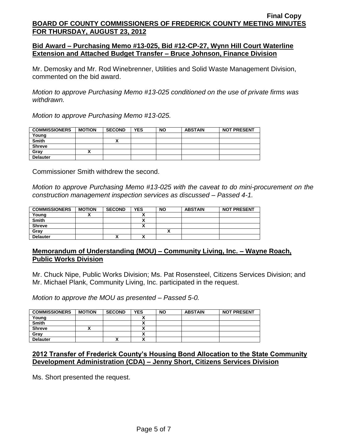### **Bid Award – Purchasing Memo #13-025, Bid #12-CP-27, Wynn Hill Court Waterline Extension and Attached Budget Transfer – Bruce Johnson, Finance Division**

Mr. Demosky and Mr. Rod Winebrenner, Utilities and Solid Waste Management Division, commented on the bid award.

*Motion to approve Purchasing Memo #13-025 conditioned on the use of private firms was withdrawn.*

*Motion to approve Purchasing Memo #13-025.*

| <b>COMMISSIONERS</b> | <b>MOTION</b> | <b>SECOND</b> | <b>YES</b> | <b>NO</b> | <b>ABSTAIN</b> | <b>NOT PRESENT</b> |
|----------------------|---------------|---------------|------------|-----------|----------------|--------------------|
| Young                |               |               |            |           |                |                    |
| Smith                |               | "             |            |           |                |                    |
| <b>Shreve</b>        |               |               |            |           |                |                    |
| Grav                 |               |               |            |           |                |                    |
| <b>Delauter</b>      |               |               |            |           |                |                    |

Commissioner Smith withdrew the second.

*Motion to approve Purchasing Memo #13-025 with the caveat to do mini-procurement on the construction management inspection services as discussed – Passed 4-1.*

| <b>COMMISSIONERS</b> | <b>MOTION</b> | <b>SECOND</b> | <b>YES</b> | <b>NO</b> | <b>ABSTAIN</b> | <b>NOT PRESENT</b> |
|----------------------|---------------|---------------|------------|-----------|----------------|--------------------|
| Young                |               |               |            |           |                |                    |
| <b>Smith</b>         |               |               | ~          |           |                |                    |
| <b>Shreve</b>        |               |               | Λ          |           |                |                    |
| Gray                 |               |               |            |           |                |                    |
| <b>Delauter</b>      |               | Λ             | v          |           |                |                    |

### **Memorandum of Understanding (MOU) – Community Living, Inc. – Wayne Roach, Public Works Division**

Mr. Chuck Nipe, Public Works Division; Ms. Pat Rosensteel, Citizens Services Division; and Mr. Michael Plank, Community Living, Inc. participated in the request.

*Motion to approve the MOU as presented – Passed 5-0.*

| <b>COMMISSIONERS</b> | <b>MOTION</b> | <b>SECOND</b> | <b>YES</b> | <b>NO</b> | <b>ABSTAIN</b> | <b>NOT PRESENT</b> |
|----------------------|---------------|---------------|------------|-----------|----------------|--------------------|
| Young                |               |               |            |           |                |                    |
| <b>Smith</b>         |               |               |            |           |                |                    |
| <b>Shreve</b>        |               |               |            |           |                |                    |
| Gray                 |               |               |            |           |                |                    |
| <b>Delauter</b>      |               | ^             | ^          |           |                |                    |

### **2012 Transfer of Frederick County's Housing Bond Allocation to the State Community Development Administration (CDA) – Jenny Short, Citizens Services Division**

Ms. Short presented the request.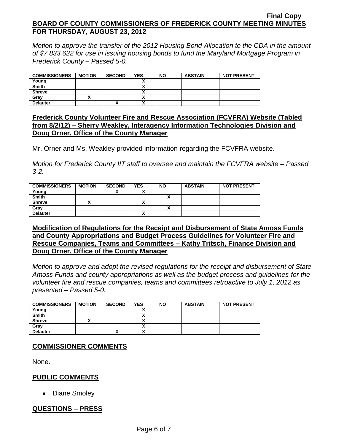*Motion to approve the transfer of the 2012 Housing Bond Allocation to the CDA in the amount of \$7,833.622 for use in issuing housing bonds to fund the Maryland Mortgage Program in Frederick County – Passed 5-0.*

| <b>COMMISSIONERS</b> | <b>MOTION</b> | <b>SECOND</b> | <b>YES</b> | <b>NO</b> | <b>ABSTAIN</b> | <b>NOT PRESENT</b> |
|----------------------|---------------|---------------|------------|-----------|----------------|--------------------|
| Young                |               |               |            |           |                |                    |
| <b>Smith</b>         |               |               |            |           |                |                    |
| <b>Shreve</b>        |               |               |            |           |                |                    |
| Grav                 |               |               | ^          |           |                |                    |
| <b>Delauter</b>      |               | ,,            | ,,,        |           |                |                    |

### **Frederick County Volunteer Fire and Rescue Association (FCVFRA) Website (Tabled from 8/2/12) – Sherry Weakley, Interagency Information Technologies Division and Doug Orner, Office of the County Manager**

Mr. Orner and Ms. Weakley provided information regarding the FCVFRA website.

*Motion for Frederick County IIT staff to oversee and maintain the FCVFRA website – Passed 3-2.*

| <b>COMMISSIONERS</b> | <b>MOTION</b> | <b>SECOND</b> | <b>YES</b> | <b>NO</b> | <b>ABSTAIN</b> | <b>NOT PRESENT</b> |
|----------------------|---------------|---------------|------------|-----------|----------------|--------------------|
| Young                |               |               | `          |           |                |                    |
| <b>Smith</b>         |               |               |            |           |                |                    |
| <b>Shreve</b>        |               |               |            |           |                |                    |
| Grav                 |               |               |            |           |                |                    |
| <b>Delauter</b>      |               |               | ^          |           |                |                    |

### **Modification of Regulations for the Receipt and Disbursement of State Amoss Funds and County Appropriations and Budget Process Guidelines for Volunteer Fire and Rescue Companies, Teams and Committees – Kathy Tritsch, Finance Division and Doug Orner, Office of the County Manager**

*Motion to approve and adopt the revised regulations for the receipt and disbursement of State Amoss Funds and county appropriations as well as the budget process and guidelines for the volunteer fire and rescue companies, teams and committees retroactive to July 1, 2012 as presented – Passed 5-0.*

| <b>COMMISSIONERS</b> | <b>MOTION</b> | <b>SECOND</b> | <b>YES</b> | <b>NO</b> | <b>ABSTAIN</b> | <b>NOT PRESENT</b> |
|----------------------|---------------|---------------|------------|-----------|----------------|--------------------|
| Young                |               |               |            |           |                |                    |
| <b>Smith</b>         |               |               | ↗          |           |                |                    |
| <b>Shreve</b>        |               |               |            |           |                |                    |
| Grav                 |               |               | ^          |           |                |                    |
| <b>Delauter</b>      |               |               | v<br>n     |           |                |                    |

# **COMMISSIONER COMMENTS**

None.

### **PUBLIC COMMENTS**

• Diane Smoley

# **QUESTIONS – PRESS**